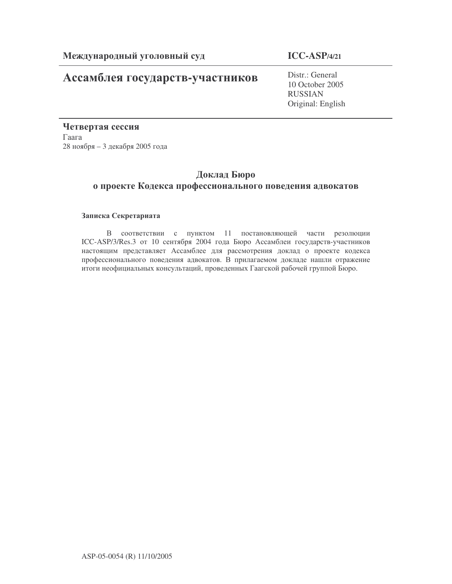## Ассамблея государств-участников

Distr.: General 10 October 2005 RUSSIAN Original: English

Четвертая сессия  $\Gamma$ aara 28 ноября - 3 декабря 2005 года

### Доклад Бюро о проекте Кодекса профессионального поведения адвокатов

#### Записка Секретариата

В соответствии с пунктом 11 постановляющей части резолюции ICC-ASP/3/Res.3 от 10 сентября 2004 года Бюро Ассамблеи государств-участников настоящим представляет Ассамблее для рассмотрения доклад о проекте кодекса профессионального поведения адвокатов. В прилагаемом докладе нашли отражение итоги неофициальных консультаций, проведенных Гаагской рабочей группой Бюро.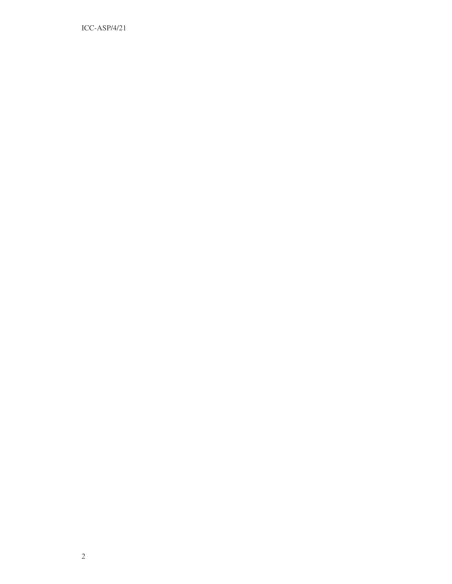ICC-ASP/4/21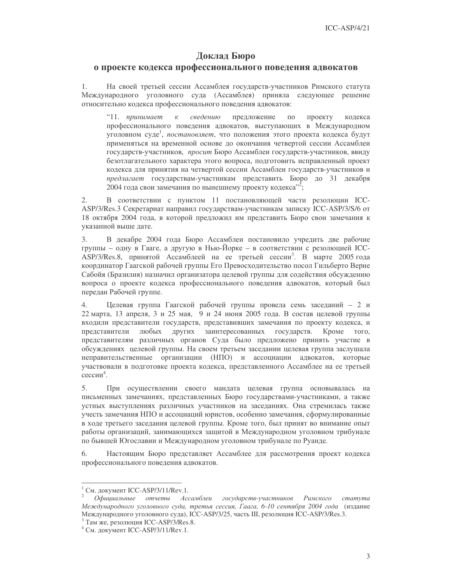#### Доклад Бюро

#### о проекте кодекса профессионального поведения адвокатов

1. На своей третьей сессии Ассамблея государств-участников Римского статута Международного уголовного суда (Ассамблея) приняла следующее решение относительно кодекса профессионального поведения адвокатов:

проекту "11. принимает  $\kappa$ сведению предложение  $\Pi$ <sup>O</sup> кодекса профессионального поведения адвокатов, выступающих в Международном уголовном суде<sup>1</sup>, постановляет, что положения этого проекта кодекса будут применяться на временной основе до окончания четвертой сессии Ассамблеи государств-участников, просит Бюро Ассамблеи государств-участников, ввиду безотлагательного характера этого вопроса, подготовить исправленный проект кодекса для принятия на четвертой сессии Ассамблеи государств-участников и предлагает государствам-участникам представить Бюро до 31 декабря 2004 года свои замечания по нынешнему проекту кодекса"<sup>2</sup>;

2. В соответствии с пунктом 11 постановляющей части резолюции ICC-ASP/3/Res.3 Секретариат направил государствам-участникам записку ICC-ASP/3/S/6 от 18 октября 2004 года, в которой предложил им представить Бюро свои замечания к указанной выше дате.

 $\overline{3}$ . В декабре 2004 года Бюро Ассамблеи постановило учредить две рабочие группы – одну в Гааге, а другую в Нью-Йорке – в соответствии с резолюцией ICC-ASP/3/Res.8, принятой Ассамблеей на ее третьей сессии<sup>3</sup>. В марте 2005 года координатор Гаагской рабочей группы Его Превосходительство посол Гильберто Верне Сабойя (Бразилия) назначил организатора целевой группы для содействия обсуждению вопроса о проекте кодекса профессионального поведения адвокатов, который был передан Рабочей группе.

Целевая группа Гаагской рабочей группы провела семь заседаний - 2 и  $\mathbf{4}$ . 22 марта, 13 апреля, 3 и 25 мая, 9 и 24 июня 2005 года. В состав целевой группы входили представители государств, представивших замечания по проекту кодекса, и представители любых других заинтересованных государств. Кроме того, представителям различных органов Суда было предложено принять участие в обсуждениях целевой группы. На своем третьем заседании целевая группа заслушала неправительственные организации (НПО) и ассоциации адвокатов, которые участвовали в подготовке проекта кодекса, представленного Ассамблее на ее третьей сессии<sup>4</sup>.

5. При осуществлении своего мандата целевая группа основывалась на письменных замечаниях, представленных Бюро государствами-участниками, а также устных выступлениях различных участников на заседаниях. Она стремилась также учесть замечания НПО и ассоциаций юристов, особенно замечания, сформулированные в ходе третьего заседания целевой группы. Кроме того, был принят во внимание опыт работы организаций, занимающихся защитой в Международном уголовном трибунале по бывшей Югославии и Международном уголовном трибунале по Руанде.

Настоящим Бюро представляет Ассамблее для рассмотрения проект кодекса 6. профессионального поведения адвокатов.

 $1$  См. документ ICC-ASP/3/11/Rev.1.

 $\overline{c}$ Официальные отчеты Ассамблеи государств-участников Римского cmamyma Международного уголовного суда, третья сессия, Гаага, 6-10 сентября 2004 года (издание Международного уголовного суда), ICC-ASP/3/25, часть III, резолюция ICC-ASP/3/Res.3.

<sup>&</sup>lt;sup>3</sup> Там же, резолюция ICC-ASP/3/Res.8.

<sup>&</sup>lt;sup>4</sup> См. документ ICC-ASP/3/11/Rev.1.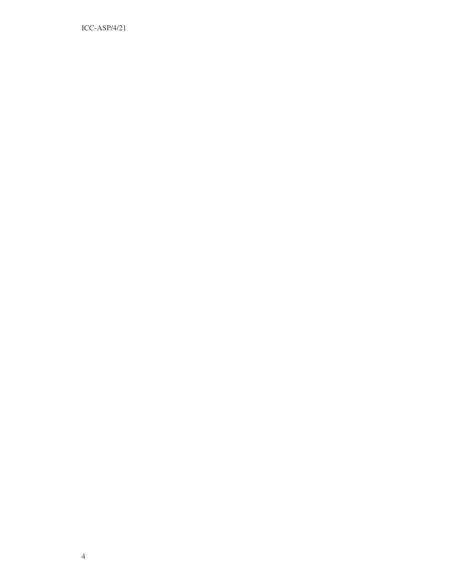ICC-ASP/4/21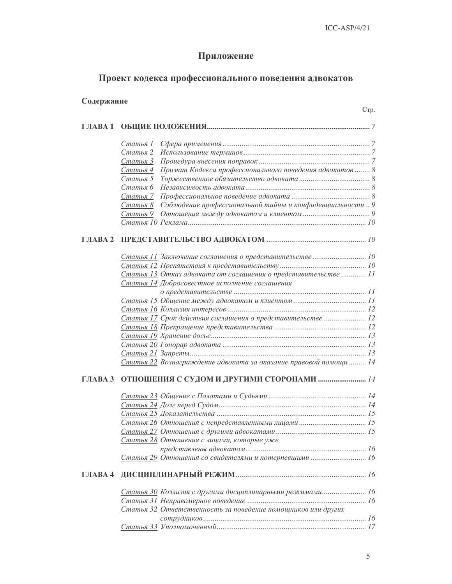## Приложение

## Проект кодекса профессионального поведения адвокатов

| Содержание            |          |                                                                   |      |  |  |
|-----------------------|----------|-------------------------------------------------------------------|------|--|--|
|                       |          |                                                                   | Cтр. |  |  |
|                       |          |                                                                   |      |  |  |
|                       | Статья 1 |                                                                   |      |  |  |
|                       |          |                                                                   |      |  |  |
|                       |          |                                                                   |      |  |  |
|                       |          | Статья 4 Примат Кодекса профессионального поведения адвокатов  8  |      |  |  |
|                       |          |                                                                   |      |  |  |
|                       |          |                                                                   |      |  |  |
|                       |          |                                                                   |      |  |  |
|                       |          | Статья 8 Соблюдение профессиональной тайны и конфиденциальности 9 |      |  |  |
|                       | Статья 9 |                                                                   |      |  |  |
|                       |          |                                                                   |      |  |  |
|                       |          |                                                                   |      |  |  |
|                       |          | Статья 11 Заключение соглашения о представительстве  10           |      |  |  |
|                       |          |                                                                   |      |  |  |
|                       |          | Статья 13 Отказ адвоката от соглашения о представительстве  11    |      |  |  |
|                       |          | Статья 14 Добросовестное исполнение соглашения                    |      |  |  |
|                       |          |                                                                   |      |  |  |
|                       |          |                                                                   |      |  |  |
|                       |          |                                                                   |      |  |  |
|                       |          | Статья 17 Срок действия соглашения о представительстве  12        |      |  |  |
|                       |          |                                                                   |      |  |  |
|                       |          |                                                                   |      |  |  |
|                       |          |                                                                   |      |  |  |
|                       |          |                                                                   |      |  |  |
|                       |          | Статья 22 Вознаграждение адвоката за оказание правовой помощи  14 |      |  |  |
| ГЛАВА 3               |          | ОТНОШЕНИЯ С СУДОМ И ДРУГИМИ СТОРОНАМИ  14                         |      |  |  |
|                       |          |                                                                   |      |  |  |
|                       |          |                                                                   |      |  |  |
|                       |          |                                                                   |      |  |  |
|                       |          |                                                                   |      |  |  |
|                       |          |                                                                   |      |  |  |
|                       |          | Статья 28 Отношения с лицами, которые уже                         |      |  |  |
|                       |          |                                                                   |      |  |  |
|                       |          | Статья 29 Отношения со свидетелями и потерпевшими  16             |      |  |  |
| $\Gamma$ <b>JABA4</b> |          |                                                                   |      |  |  |
|                       |          | Статья 30 Коллизия с другими дисциплинарными режимами 16          |      |  |  |
|                       |          |                                                                   |      |  |  |
|                       |          | Статья 32 Ответственность за поведение помощников или других      |      |  |  |
|                       |          |                                                                   |      |  |  |
|                       |          |                                                                   |      |  |  |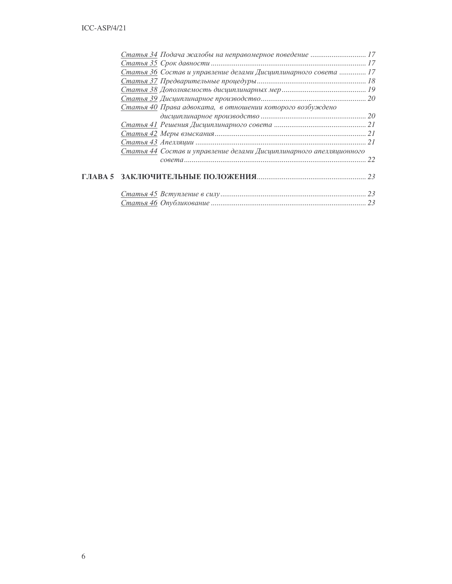|  | Статья 36 Состав и управление делами Дисциплинарного совета  17     |  |
|--|---------------------------------------------------------------------|--|
|  |                                                                     |  |
|  |                                                                     |  |
|  |                                                                     |  |
|  | Статья 40 Права адвоката, в отношении которого возбуждено           |  |
|  |                                                                     |  |
|  |                                                                     |  |
|  |                                                                     |  |
|  |                                                                     |  |
|  | Статья 44 Состав и управление делами Дисциплинарного апелляционного |  |
|  |                                                                     |  |
|  |                                                                     |  |
|  |                                                                     |  |
|  |                                                                     |  |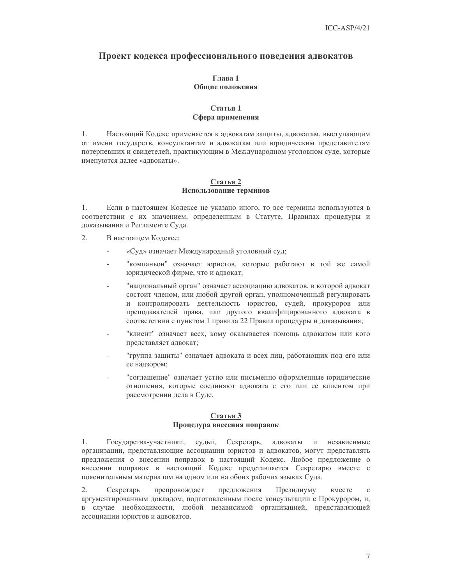#### Проект кодекса профессионального поведения адвокатов

#### Глава 1 Общие положения

#### Статья 1 Сфера применения

1. Настоящий Кодекс применяется к адвокатам защиты, адвокатам, выступающим от имени государств, консультантам и адвокатам или юридическим представителям потерпевших и свидетелей, практикующим в Международном уголовном суде, которые именуются далее «адвокаты».

#### Статья 2 Использование терминов

1. Если в настоящем Кодексе не указано иного, то все термины используются в соответствии с их значением, определенным в Статуте, Правилах процедуры и доказывания и Регламенте Суда.

 $2.$ В настояшем Колексе:

- «Суд» означает Международный уголовный суд;
- "компаньон" означает юристов, которые работают в той же самой юридической фирме, что и адвокат;
- "национальный орган" означает ассоциацию адвокатов, в которой адвокат состоит членом, или любой другой орган, уполномоченный регулировать и контролировать деятельность юристов, судей, прокуроров или преподавателей права, или другого квалифицированного адвоката в соответствии с пунктом 1 правила 22 Правил процедуры и доказывания;
- "клиент" означает всех, кому оказывается помощь адвокатом или кого представляет адвокат;
- "группа защиты" означает адвоката и всех лиц, работающих под его или ее надзором;
- "соглашение" означает устно или письменно оформленные юридические отношения, которые соединяют адвоката с его или ее клиентом при рассмотрении дела в Суде.

#### Статья 3 Процедура внесения поправок

 $1<sub>1</sub>$ Государства-участники, судьи, Секретарь, адвокаты  $W$ независимые организации, представляющие ассоциации юристов и адвокатов, могут представлять предложения о внесении поправок в настоящий Кодекс. Любое предложение о внесении поправок в настоящий Кодекс представляется Секретарю вместе с пояснительным материалом на одном или на обоих рабочих языках Суда.

2. Секретарь препровождает предложения Президиуму вместе  $\mathcal{C}$ аргументированным докладом, подготовленным после консультации с Прокурором, и, в случае необходимости, любой независимой организацией, представляющей ассоциации юристов и адвокатов.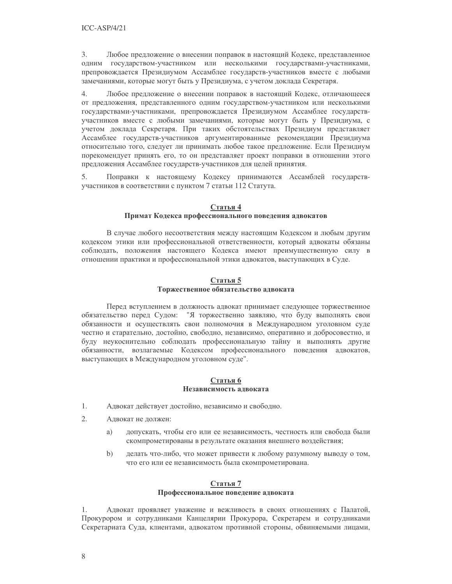$\overline{3}$ . Любое предложение о внесении поправок в настоящий Кодекс, представленное одним государством-участником или несколькими государствами-участниками, препровождается Президиумом Ассамблее государств-участников вместе с любыми замечаниями, которые могут быть у Президиума, с учетом доклада Секретаря.

 $4.$ Любое предложение о внесении поправок в настоящий Кодекс, отличающееся от предложения, представленного одним государством-участником или несколькими государствами-участниками, препровождается Президиумом Ассамблее государствучастников вместе с любыми замечаниями, которые могут быть у Президиума, с учетом доклада Секретаря. При таких обстоятельствах Президиум представляет Ассамблее государств-участников аргументированные рекомендации Президиума относительно того, следует ли принимать любое такое предложение. Если Президиум порекомендует принять его, то он представляет проект поправки в отношении этого предложения Ассамблее государств-участников для целей принятия.

5. Поправки к настоящему Кодексу принимаются Ассамблей государствучастников в соответствии с пунктом 7 статьи 112 Статута.

#### Статья 4 Примат Кодекса профессионального поведения адвокатов

В случае любого несоответствия между настоящим Кодексом и любым другим кодексом этики или профессиональной ответственности, который адвокаты обязаны соблюдать, положения настоящего Кодекса имеют преимущественную силу в отношении практики и профессиональной этики адвокатов, выступающих в Суде.

#### Статья 5 Торжественное обязательство адвоката

Перед вступлением в должность адвокат принимает следующее торжественное обязательство перед Судом: "Я торжественно заявляю, что буду выполнять свои обязанности и осуществлять свои полномочия в Международном уголовном суде честно и старательно, достойно, свободно, независимо, оперативно и добросовестно, и буду неукоснительно соблюдать профессиональную тайну и выполнять другие обязанности, возлагаемые Кодексом профессионального поведения адвокатов, выступающих в Международном уголовном суде".

#### Статья 6 Независимость алвоката

- 1. Адвокат действует достойно, независимо и свободно.
- $2.$ Алвокат не лолжен:
	- допускать, чтобы его или ее независимость, честность или свобода были a) скомпрометированы в результате оказания внешнего воздействия;
	- $b)$ делать что-либо, что может привести к любому разумному выводу о том, что его или ее независимость была скомпрометирована.

#### Статья 7 Профессиональное поведение адвоката

1. Адвокат проявляет уважение и вежливость в своих отношениях с Палатой, Прокурором и сотрудниками Канцелярии Прокурора, Секретарем и сотрудниками Секретариата Суда, клиентами, адвокатом противной стороны, обвиняемыми лицами,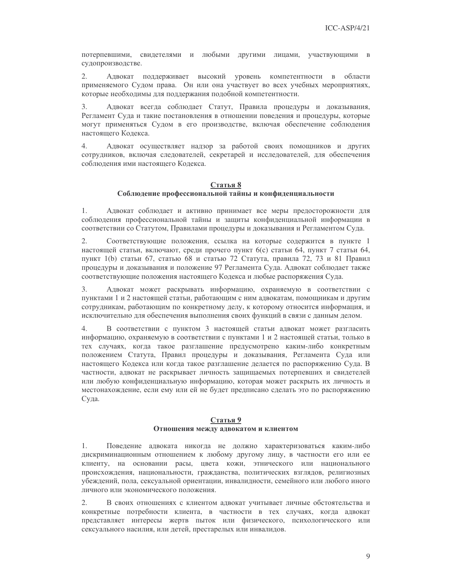потерпевшими, свидетелями и любыми другими лицами, участвующими в судопроизводстве.

 $\overline{2}$ . Адвокат поддерживает высокий уровень компетентности в области применяемого Судом права. Он или она участвует во всех учебных мероприятиях, которые необходимы для поддержания подобной компетентности.

3. Адвокат всегда соблюдает Статут, Правила процедуры и доказывания, Регламент Суда и такие постановления в отношении поведения и процедуры, которые могут применяться Судом в его производстве, включая обеспечение соблюдения настоящего Кодекса.

 $\overline{4}$ . Адвокат осуществляет надзор за работой своих помощников и других сотрудников, включая следователей, секретарей и исследователей, для обеспечения соблюдения ими настоящего Кодекса.

#### Статья 8

#### Соблюдение профессиональной тайны и конфиденциальности

 $1.$ Адвокат соблюдает и активно принимает все меры предосторожности для соблюдения профессиональной тайны и защиты конфиденциальной информации в соответствии со Статутом, Правилами процедуры и доказывания и Регламентом Суда.

Соответствующие положения, ссылка на которые содержится в пункте 1  $2.$ настоящей статьи, включают, среди прочего пункт 6(с) статьи 64, пункт 7 статьи 64, пункт 1(b) статьи 67, статью 68 и статью 72 Статута, правила 72, 73 и 81 Правил процедуры и доказывания и положение 97 Регламента Суда. Адвокат соблюдает также соответствующие положения настоящего Кодекса и любые распоряжения Суда.

3. Адвокат может раскрывать информацию, охраняемую в соответствии с пунктами 1 и 2 настоящей статьи, работающим с ним адвокатам, помощникам и другим сотрудникам, работающим по конкретному делу, к которому относится информация, и исключительно для обеспечения выполнения своих функций в связи с данным делом.

 $\overline{4}$ . В соответствии с пунктом 3 настоящей статьи адвокат может разгласить информацию, охраняемую в соответствии с пунктами 1 и 2 настоящей статьи, только в тех случаях, когда такое разглашение предусмотрено каким-либо конкретным положением Статута, Правил процедуры и доказывания, Регламента Суда или настоящего Кодекса или когда такое разглашение делается по распоряжению Суда. В частности, адвокат не раскрывает личность защищаемых потерпевших и свидетелей или любую конфиденциальную информацию, которая может раскрыть их личность и местонахождение, если ему или ей не будет предписано сделать это по распоряжению Суда.

#### <u>Статья 9</u>

#### Отношения между адвокатом и клиентом

Поведение адвоката никогда не должно характеризоваться каким-либо 1. дискриминационным отношением к любому другому лицу, в частности его или ее клиенту, на основании расы, цвета кожи, этнического или национального происхождения, национальности, гражданства, политических взглядов, религиозных убеждений, пола, сексуальной ориентации, инвалидности, семейного или любого иного личного или экономического положения.

 $\overline{2}$ . В своих отношениях с клиентом адвокат учитывает личные обстоятельства и конкретные потребности клиента, в частности в тех случаях, когда адвокат представляет интересы жертв пыток или физического, психологического или сексуального насилия, или детей, престарелых или инвалидов.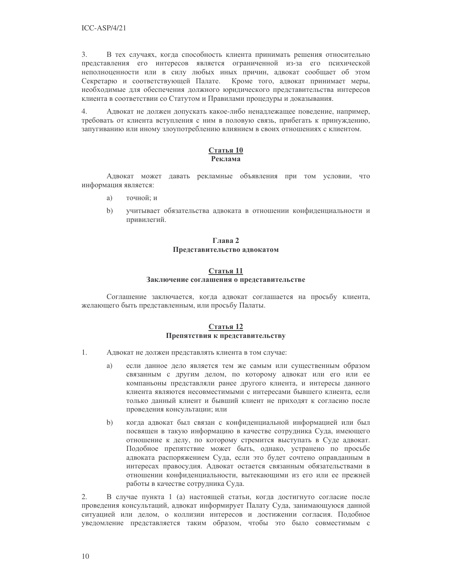$3<sub>1</sub>$ В тех случаях, когда способность клиента принимать решения относительно представления его интересов является ограниченной из-за его психической неполноценности или в силу любых иных причин, адвокат сообщает об этом Секретарю и соответствующей Палате. Кроме того, адвокат принимает меры, необходимые для обеспечения должного юридического представительства интересов клиента в соответствии со Статутом и Правилами процедуры и доказывания.

 $4<sub>1</sub>$ Адвокат не должен допускать какое-либо ненадлежащее поведение, например, требовать от клиента вступления с ним в половую связь, прибегать к принуждению, запугиванию или иному злоупотреблению влиянием в своих отношениях с клиентом.

#### Статья 10 Реклама

Адвокат может давать рекламные объявления при том условии, что информация является:

- a) точной; и
- $b)$ учитывает обязательства адвоката в отношении конфиденциальности и привилегий.

#### Глава 2 Представительство адвокатом

#### Статья 11

#### Заключение соглашения о представительстве

Соглашение заключается, когда адвокат соглашается на просьбу клиента, желающего быть представленным, или просьбу Палаты.

#### Статья 12 Препятствия к представительству

- $1.$ Адвокат не должен представлять клиента в том случае:
	- a) если данное дело является тем же самым или существенным образом связанным с другим делом, по которому адвокат или его или ее компаньоны представляли ранее другого клиента, и интересы данного клиента являются несовместимыми с интересами бывшего клиента, если только данный клиент и бывший клиент не приходят к согласию после проведения консультации; или
	- $b)$ когда адвокат был связан с конфиденциальной информацией или был посвящен в такую информацию в качестве сотрудника Суда, имеющего отношение к делу, по которому стремится выступать в Суде адвокат. Подобное препятствие может быть, однако, устранено по просьбе адвоката распоряжением Суда, если это будет сочтено оправданным в интересах правосудия. Адвокат остается связанным обязательствами в отношении конфиденциальности, вытекающими из его или ее прежней работы в качестве сотрудника Суда.

2. В случае пункта 1 (а) настоящей статьи, когда достигнуто согласие после проведения консультаций, адвокат информирует Палату Суда, занимающуюся данной ситуацией или делом, о коллизии интересов и достижении согласия. Подобное уведомление представляется таким образом, чтобы это было совместимым с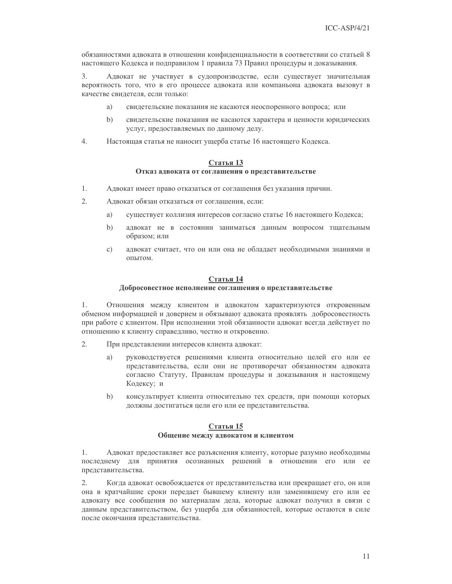обязанностями адвоката в отношении конфиденциальности в соответствии со статьей 8 настоящего Кодекса и подправилом 1 правила 73 Правил процедуры и доказывания.

Адвокат не участвует в судопроизводстве, если существует значительная 3. вероятность того, что в его процессе адвоката или компаньона адвоката вызовут в качестве свидетеля, если только:

- a) свидетельские показания не касаются неоспоренного вопроса; или
- $h)$ свидетельские показания не касаются характера и ценности юридических услуг, предоставляемых по данному делу.
- $4.$ Настоящая статья не наносит ущерба статье 16 настоящего Кодекса.

#### Статья 13

#### Отказ адвоката от соглашения о представительстве

- $1<sub>1</sub>$ Адвокат имеет право отказаться от соглашения без указания причин.
- $2.$ Адвокат обязан отказаться от соглашения, если:
	- существует коллизия интересов согласно статье 16 настоящего Кодекса; a)
	- $b)$ адвокат не в состоянии заниматься данным вопросом тщательным образом; или
	- $\mathbf{c}$ ) адвокат считает, что он или она не обладает необходимыми знаниями и опытом.

#### Статья 14

#### Добросовестное исполнение соглашения о представительстве

1. Отношения между клиентом и адвокатом характеризуются откровенным обменом информацией и доверием и обязывают адвоката проявлять добросовестность при работе с клиентом. При исполнении этой обязанности адвокат всегда действует по отношению к клиенту справедливо, честно и откровенно.

- $2.$ При представлении интересов клиента адвокат:
	- руководствуется решениями клиента относительно целей его или ее a) представительства, если они не противоречат обязанностям адвоката согласно Статуту, Правилам процедуры и доказывания и настоящему Кодексу; и
	- $b)$ консультирует клиента относительно тех средств, при помощи которых должны достигаться цели его или ее представительства.

#### Статья 15 Общение между адвокатом и клиентом

 $1$ Адвокат предоставляет все разъяснения клиенту, которые разумно необходимы последнему для принятия осознанных решений в отношении его или ее представительства.

Когда адвокат освобождается от представительства или прекращает его, он или 2. она в кратчайшие сроки передает бывшему клиенту или заменившему его или ее адвокату все сообщения по материалам дела, которые адвокат получил в связи с данным представительством, без ущерба для обязанностей, которые остаются в силе после окончания представительства.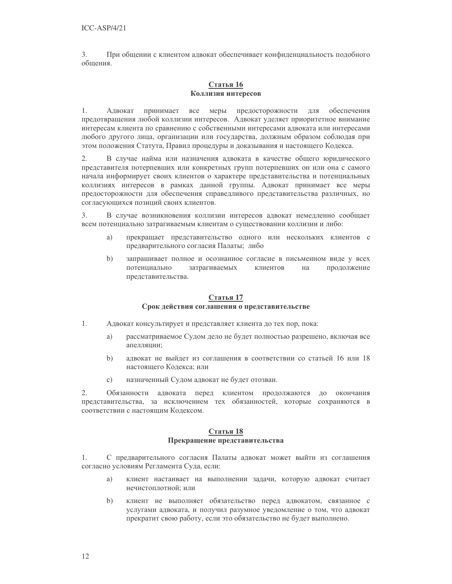$3<sub>1</sub>$ При общении с клиентом адвокат обеспечивает конфиденциальность подобного общения.

#### <u>Статья 16</u> Коллизия интересов

принимает **BCC** меры предосторожности для обеспечения  $\mathbf{1}$ . Адвокат предотвращения любой коллизии интересов. Адвокат уделяет приоритетное внимание интересам клиента по сравнению с собственными интересами адвоката или интересами любого другого лица, организации или государства, должным образом соблюдая при этом положения Статута, Правил процедуры и доказывания и настоящего Кодекса.

2. В случае найма или назначения адвоката в качестве общего юридического представителя потерпевших или конкретных групп потерпевших он или она с самого начала информирует своих клиентов о характере представительства и потенциальных коллизиях интересов в рамках данной группы. Адвокат принимает все меры предосторожности для обеспечения справедливого представительства различных, но согласующихся позиций своих клиентов.

3. В случае возникновения коллизии интересов адвокат немедленно сообщает всем потенциально затрагиваемым клиентам о существовании коллизии и либо:

- a) прекращает представительство одного или нескольких клиентов с предварительного согласия Палаты; либо
- $\mathbf{b}$ запрашивает полное и осознанное согласие в письменном виде у всех потенциально затрагиваемых клиентов на продолжение представительства.

#### Статья 17 Срок действия соглашения о представительстве

- $1<sub>1</sub>$ Адвокат консультирует и представляет клиента до тех пор, пока:
	- a) рассматриваемое Судом дело не будет полностью разрешено, включая все апелляции;
	- $b)$ алвокат не выйлет из соглашения в соответствии со статьей 16 или 18 настоящего Кодекса; или
	- назначенный Судом адвокат не будет отозван.  $\mathcal{C}$ )

2. Обязанности адвоката перед клиентом продолжаются до окончания представительства, за исключением тех обязанностей, которые сохраняются в соответствии с настоящим Кодексом.

#### Статья 18 Прекращение представительства

С предварительного согласия Палаты адвокат может выйти из соглашения 1. согласно условиям Регламента Суда, если:

- клиент настаивает на выполнении задачи, которую адвокат считает a) нечистоплотной; или
- $b)$ клиент не выполняет обязательство перед адвокатом, связанное с услугами адвоката, и получил разумное уведомление о том, что адвокат прекратит свою работу, если это обязательство не будет выполнено.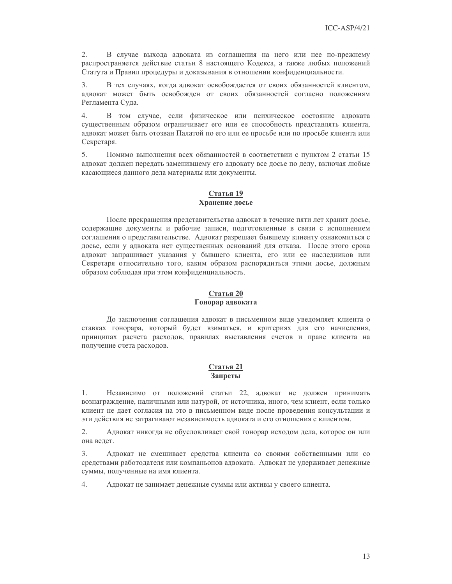$2.$ В случае выхода адвоката из соглашения на него или нее по-прежнему распространяется действие статьи 8 настоящего Кодекса, а также любых положений Статута и Правил процедуры и доказывания в отношении конфиденциальности.

3. В тех случаях, когда адвокат освобождается от своих обязанностей клиентом, адвокат может быть освобожден от своих обязанностей согласно положениям Регламента Сула.

 $\overline{4}$ В том случае, если физическое или психическое состояние адвоката существенным образом ограничивает его или ее способность представлять клиента, адвокат может быть отозван Палатой по его или ее просьбе или по просьбе клиента или Секретаря.

 $5<sub>1</sub>$ Помимо выполнения всех обязанностей в соответствии с пунктом 2 статьи 15 адвокат должен передать заменившему его адвокату все досье по делу, включая любые касающиеся данного дела материалы или документы.

#### <u>Статья 19</u> Хранение досье

После прекращения представительства адвокат в течение пяти лет хранит досье, содержащие документы и рабочие записи, подготовленные в связи с исполнением соглашения о представительстве. Адвокат разрешает бывшему клиенту ознакомиться с досье, если у адвоката нет существенных оснований для отказа. После этого срока адвокат запрашивает указания у бывшего клиента, его или ее наследников или Секретаря относительно того, каким образом распорядиться этими досье, должным образом соблюдая при этом конфиденциальность.

#### Статья 20 Гонорар адвоката

До заключения соглашения адвокат в письменном виде уведомляет клиента о ставках гонорара, который будет взиматься, и критериях для его начисления, принципах расчета расходов, правилах выставления счетов и праве клиента на получение счета расходов.

#### **Статья 21** Запреты

Независимо от положений статьи 22, адвокат не должен принимать 1. вознаграждение, наличными или натурой, от источника, иного, чем клиент, если только клиент не дает согласия на это в письменном виде после проведения консультации и эти действия не затрагивают независимость адвоката и его отношения с клиентом.

Адвокат никогда не обусловливает свой гонорар исходом дела, которое он или 2. она ведет.

3. Адвокат не смешивает средства клиента со своими собственными или со средствами работодателя или компаньонов адвоката. Адвокат не удерживает денежные суммы, полученные на имя клиента.

4. Адвокат не занимает денежные суммы или активы у своего клиента.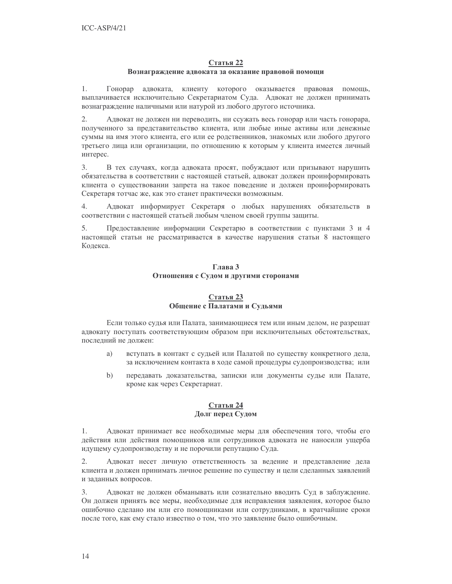#### Статья 22

#### Вознаграждение адвоката за оказание правовой помощи

Гонорар адвоката, клиенту которого оказывается правовая помощь, 1. выплачивается исключительно Секретариатом Суда. Адвокат не должен принимать вознаграждение наличными или натурой из любого другого источника.

 $2.$ Адвокат не должен ни переводить, ни ссужать весь гонорар или часть гонорара, полученного за представительство клиента, или любые иные активы или денежные суммы на имя этого клиента, его или ее родственников, знакомых или любого другого третьего лица или организации, по отношению к которым у клиента имеется личный интерес.

3. В тех случаях, когда адвоката просят, побуждают или призывают нарушить обязательства в соответствии с настоящей статьей, адвокат должен проинформировать клиента о существовании запрета на такое поведение и должен проинформировать Секретаря тотчас же, как это станет практически возможным.

 $\overline{4}$ . Адвокат информирует Секретаря о любых нарушениях обязательств в соответствии с настоящей статьей любым членом своей группы защиты.

5. Предоставление информации Секретарю в соответствии с пунктами 3 и 4 настоящей статьи не рассматривается в качестве нарушения статьи 8 настоящего Колекса.

#### Глявя 3 Отношения с Судом и другими сторонами

#### Статья 23 Общение с Палатами и Судьями

Если только судья или Палата, занимающиеся тем или иным делом, не разрешат адвокату поступать соответствующим образом при исключительных обстоятельствах, последний не должен:

- вступать в контакт с судьей или Палатой по существу конкретного дела, a) за исключением контакта в ходе самой процедуры судопроизводства; или
- $b)$ передавать доказательства, записки или документы судье или Палате, кроме как через Секретариат.

#### **Статья 24** Долг перед Судом

Адвокат принимает все необходимые меры для обеспечения того, чтобы его 1. действия или действия помощников или сотрудников адвоката не наносили ущерба идущему судопроизводству и не порочили репутацию Суда.

2. Адвокат несет личную ответственность за ведение и представление дела клиента и должен принимать личное решение по существу и цели сделанных заявлений и заданных вопросов.

Адвокат не должен обманывать или сознательно вводить Суд в заблуждение. 3. Он должен принять все меры, необходимые для исправления заявления, которое было ошибочно сделано им или его помощниками или сотрудниками, в кратчайшие сроки после того, как ему стало известно о том, что это заявление было ошибочным.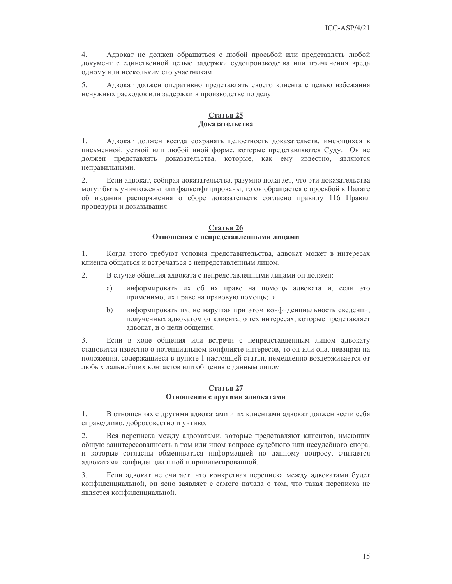$\overline{4}$ . Адвокат не должен обращаться с любой просьбой или представлять любой документ с единственной целью задержки судопроизводства или причинения вреда одному или нескольким его участникам.

5. Адвокат должен оперативно представлять своего клиента с целью избежания ненужных расходов или задержки в производстве по делу.

#### Статья 25 Локазательства

 $1$ Адвокат должен всегда сохранять целостность доказательств, имеющихся в письменной, устной или любой иной форме, которые представляются Суду. Он не должен представлять доказательства, которые, как ему известно, являются неправильными.

Если адвокат, собирая доказательства, разумно полагает, что эти доказательства  $\mathcal{D}_{\mathcal{L}}$ могут быть уничтожены или фальсифицированы, то он обращается с просьбой к Палате об издании распоряжения о сборе доказательств согласно правилу 116 Правил процедуры и доказывания.

#### Статья 26 Отношения с непредставленными лицами

 $1<sub>1</sub>$ Когда этого требуют условия представительства, адвокат может в интересах клиента общаться и встречаться с непредставленным лицом.

 $\mathcal{L}$ В случае общения адвоката с непредставленными лицами он должен:

- информировать их об их праве на помощь адвоката и, если это a) применимо, их праве на правовую помощь; и
- $b)$ информировать их, не нарушая при этом конфиденциальность сведений, полученных адвокатом от клиента, о тех интересах, которые представляет адвокат, и о цели общения.

3. Если в ходе общения или встречи с непредставленным лицом адвокату становится известно о потенциальном конфликте интересов, то он или она, невзирая на положения, содержащиеся в пункте 1 настоящей статьи, немедленно воздерживается от любых дальнейших контактов или общения с данным лицом.

# **Статья 27**<br>Отношения с другими адвокатами

1. В отношениях с другими адвокатами и их клиентами адвокат должен вести себя справедливо, добросовестно и учтиво.

 $\overline{2}$ . Вся переписка между адвокатами, которые представляют клиентов, имеющих общую заинтересованность в том или ином вопросе судебного или несудебного спора, и которые согласны обмениваться информацией по данному вопросу, считается адвокатами конфиденциальной и привилегированной.

3. Если адвокат не считает, что конкретная переписка между адвокатами будет конфиденциальной, он ясно заявляет с самого начала о том, что такая переписка не является конфиденциальной.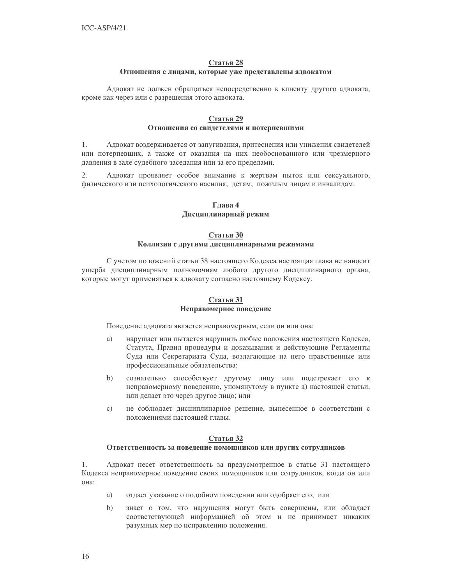#### Статья 28

#### Отношения с лицами, которые уже представлены адвокатом

Адвокат не должен обращаться непосредственно к клиенту другого адвоката, кроме как через или с разрешения этого адвоката.

#### Статья 29

#### Отношения со свидетелями и потерпевшими

 $1<sub>1</sub>$ Адвокат воздерживается от запугивания, притеснения или унижения свидетелей или потерпевших, а также от оказания на них необоснованного или чрезмерного давления в зале судебного заседания или за его пределами.

 $2.$ Адвокат проявляет особое внимание к жертвам пыток или сексуального, физического или психологического насилия; детям; пожилым лицам и инвалидам.

#### Глявя 4 Дисциплинарный режим

#### Статья 30 Коллизия с другими дисциплинарными режимами

С учетом положений статьи 38 настоящего Кодекса настоящая глава не наносит ущерба дисциплинарным полномочиям любого другого дисциплинарного органа, которые могут применяться к адвокату согласно настоящему Кодексу.

#### Статья 31 Неправомерное поведение

Поведение адвоката является неправомерным, если он или она:

- нарушает или пытается нарушить любые положения настоящего Кодекса, a) Статута, Правил процедуры и доказывания и действующие Регламенты Суда или Секретариата Суда, возлагающие на него нравственные или профессиональные обязательства;
- сознательно способствует другому лицу или подстрекает его к  $b)$ неправомерному поведению, упомянутому в пункте а) настоящей статьи, или делает это через другое лицо; или
- $\mathbf{c}$ ) не соблюдает дисциплинарное решение, вынесенное в соответствии с положениями настоящей главы.

#### Статья 32

#### Ответственность за поведение помощников или других сотрудников

Адвокат несет ответственность за предусмотренное в статье 31 настоящего 1. Кодекса неправомерное поведение своих помощников или сотрудников, когда он или она.

- a) отдает указание о подобном поведении или одобряет его; или
- $b)$ знает о том, что нарушения могут быть совершены, или обладает соответствующей информацией об этом и не принимает никаких разумных мер по исправлению положения.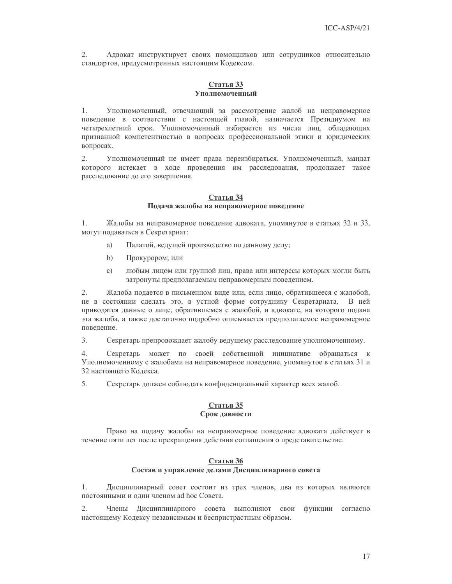2. Адвокат инструктирует своих помощников или сотрудников относительно стандартов, предусмотренных настоящим Кодексом.

#### Статья 33 Уполномоченный

Уполномоченный, отвечающий за рассмотрение жалоб на неправомерное  $1_{-}$ поведение в соответствии с настоящей главой, назначается Президиумом на четырехлетний срок. Уполномоченный избирается из числа лиц, обладающих признанной компетентностью в вопросах профессиональной этики и юридических вопросах.

 $2.$ Уполномоченный не имеет права переизбираться. Уполномоченный, мандат которого истекает в ходе проведения им расследования, продолжает такое расследование до его завершения.

#### Статья 34 Подача жалобы на неправомерное поведение

1. Жалобы на неправомерное поведение адвоката, упомянутое в статьях 32 и 33, могут подаваться в Секретариат:

- Палатой, ведущей производство по данному делу; a)
- b) Прокурором; или
- $\mathbf{c}$ ) любым лицом или группой лиц, права или интересы которых могли быть затронуты предполагаемым неправомерным поведением.

 $2.$ Жалоба подается в письменном виде или, если лицо, обратившееся с жалобой, не в состоянии сделать это, в устной форме сотруднику Секретариата. В ней приводятся данные о лице, обратившемся с жалобой, и адвокате, на которого подана эта жалоба, а также достаточно подробно описывается предполагаемое неправомерное поведение.

 $3.$ Секретарь препровождает жалобу ведущему расследование уполномоченному.

 $4.$ Секретарь может по своей собственной инициативе обращаться к Уполномоченному с жалобами на неправомерное поведение, упомянутое в статьях 31 и 32 настоящего Кодекса.

 $5<sub>1</sub>$ Секретарь должен соблюдать конфиденциальный характер всех жалоб.

#### Статья 35

#### Срок давности

Право на подачу жалобы на неправомерное поведение адвоката действует в течение пяти лет после прекращения действия соглашения о представительстве.

#### Статья 36 Состав и управление делами Дисциплинарного совета

Дисциплинарный совет состоит из трех членов, два из которых являются 1. постоянными и один членом ad hoc Совета.

 $\overline{2}$ . Члены Дисциплинарного совета выполняют свои функции согласно настоящему Кодексу независимым и беспристрастным образом.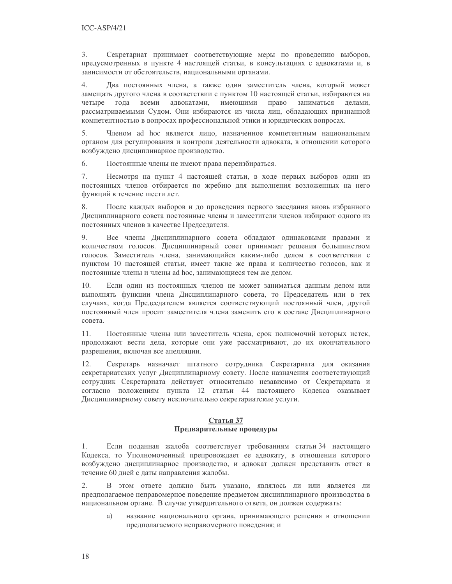$3<sub>1</sub>$ Секретариат принимает соответствующие меры по проведению выборов, предусмотренных в пункте 4 настоящей статьи, в консультациях с адвокатами и, в зависимости от обстоятельств, национальными органами.

 $4.$ Два постоянных члена, а также один заместитель члена, который может замещать другого члена в соответствии с пунктом 10 настоящей статьи, избираются на четыре гола всеми адвокатами, имеющими право заниматься лелами. рассматриваемыми Судом. Они избираются из числа лиц, обладающих признанной компетентностью в вопросах профессиональной этики и юридических вопросах.

Членом ad hoc является лицо, назначенное компетентным национальным 5. органом для регулирования и контроля деятельности адвоката, в отношении которого возбуждено дисциплинарное производство.

6. Постоянные члены не имеют права переизбираться.

7. Несмотря на пункт 4 настоящей статьи, в ходе первых выборов один из постоянных членов отбирается по жребию для выполнения возложенных на него функций в течение шести лет.

8. После каждых выборов и до проведения первого заседания вновь избранного Дисциплинарного совета постоянные члены и заместители членов избирают одного из постоянных членов в качестве Председателя.

9. Все члены Дисциплинарного совета обладают одинаковыми правами и количеством голосов. Дисциплинарный совет принимает решения большинством голосов. Заместитель члена, занимающийся каким-либо делом в соответствии с пунктом 10 настоящей статьи, имеет такие же права и количество голосов, как и постоянные члены и члены ad hoc, занимающиеся тем же делом.

 $10<sub>1</sub>$ Если олин из постоянных членов не может заниматься ланным делом или выполнять функции члена Дисциплинарного совета, то Председатель или в тех случаях, когда Председателем является соответствующий постоянный член, другой постоянный член просит заместителя члена заменить его в составе Дисциплинарного совета.

 $11$ Постоянные члены или заместитель члена, срок полномочий которых истек, продолжают вести дела, которые они уже рассматривают, до их окончательного разрешения, включая все апелляции.

Секретарь назначает штатного сотрудника Секретариата для оказания  $12<sub>1</sub>$ секретариатских услуг Дисциплинарному совету. После назначения соответствующий сотрудник Секретариата действует относительно независимо от Секретариата и согласно положениям пункта 12 статьи 44 настоящего Кодекса оказывает Дисциплинарному совету исключительно секретариатские услуги.

#### Статья 37 Предварительные процедуры

Если поданная жалоба соответствует требованиям статьи 34 настоящего  $1.$ Кодекса, то Уполномоченный препровождает ее адвокату, в отношении которого возбуждено дисциплинарное производство, и адвокат должен представить ответ в течение 60 дней с даты направления жалобы.

 $2^{\circ}$ В этом ответе должно быть указано, являлось ли или является ли предполагаемое неправомерное поведение предметом дисциплинарного производства в национальном органе. В случае утвердительного ответа, он должен содержать:

a) название национального органа, принимающего решения в отношении предполагаемого неправомерного поведения; и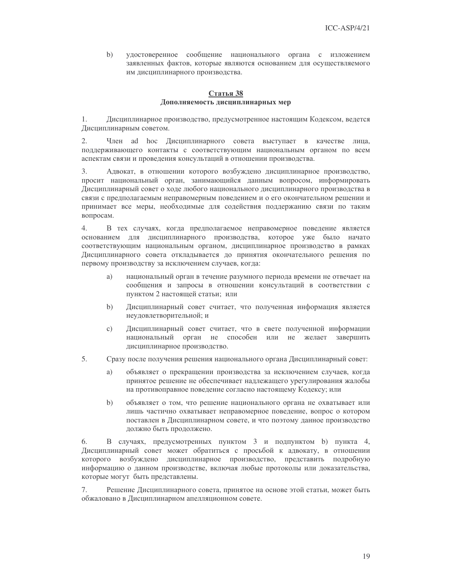$b)$ удостоверенное сообщение национального органа с изложением заявленных фактов, которые являются основанием для осуществляемого им дисциплинарного производства.

#### Статья 38 Дополняемость дисциплинарных мер

1. Дисциплинарное производство, предусмотренное настоящим Кодексом, ведется Дисциплинарным советом.

 $\overline{2}$ . Член ad hoc Дисциплинарного совета выступает в качестве лица, поддерживающего контакты с соответствующим национальным органом по всем аспектам связи и проведения консультаций в отношении производства.

3. Адвокат, в отношении которого возбуждено дисциплинарное производство, просит национальный орган, занимающийся данным вопросом, информировать Дисциплинарный совет о ходе любого национального дисциплинарного производства в связи с предполагаемым неправомерным поведением и о его окончательном решении и принимает все меры, необходимые для содействия поддержанию связи по таким вопросам.

 $4.$ В тех случаях, когда предполагаемое неправомерное поведение является основанием для дисциплинарного производства, которое уже было начато соответствующим национальным органом, дисциплинарное производство в рамках Дисциплинарного совета откладывается до принятия окончательного решения по первому производству за исключением случаев, когда:

- a) национальный орган в течение разумного периода времени не отвечает на сообщения и запросы в отношении консультаций в соответствии с пунктом 2 настоящей статьи; или
- $b)$ Дисциплинарный совет считает, что полученная информация является неудовлетворительной; и
- $\mathbf{c})$ Дисциплинарный совет считает, что в свете полученной информации национальный орган не способен или не желает завершить дисциплинарное производство.
- 5. Сразу после получения решения национального органа Дисциплинарный совет:
	- a) объявляет о прекращении производства за исключением случаев, когда принятое решение не обеспечивает надлежащего урегулирования жалобы на противоправное поведение согласно настоящему Кодексу; или
	- $b)$ объявляет о том, что решение национального органа не охватывает или лишь частично охватывает неправомерное поведение, вопрос о котором поставлен в Дисциплинарном совете, и что поэтому данное производство должно быть продолжено.

6. В случаях, предусмотренных пунктом 3 и подпунктом b) пункта 4, Дисциплинарный совет может обратиться с просьбой к адвокату, в отношении которого возбуждено дисциплинарное производство, представить подробную информацию о данном производстве, включая любые протоколы или доказательства, которые могут быть представлены.

7. Решение Дисциплинарного совета, принятое на основе этой статьи, может быть обжаловано в Дисциплинарном апелляционном совете.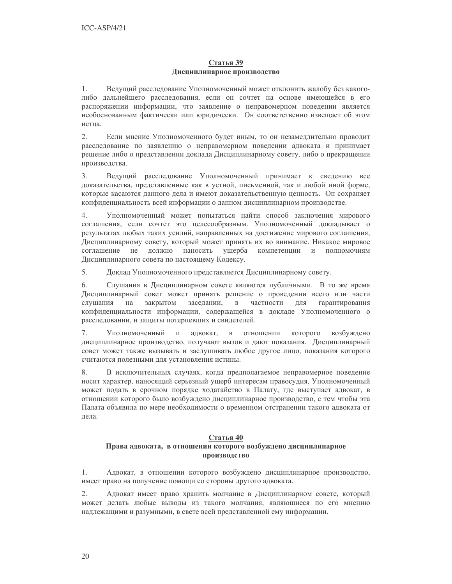#### Статья 39 Дисциплинарное производство

Ведущий расследование Уполномоченный может отклонить жалобу без какого- $1.$ либо дальнейшего расследования, если он сочтет на основе имеющейся в его распоряжении информации, что заявление о неправомерном поведении является необоснованным фактически или юридически. Он соответственно извещает об этом истна.

Если мнение Уполномоченного будет иным, то он незамедлительно проводит  $2.$ расследование по заявлению о неправомерном поведении адвоката и принимает решение либо о представлении доклада Дисциплинарному совету, либо о прекращении производства.

 $3<sub>1</sub>$ Ведущий расследование Уполномоченный принимает к сведению все доказательства, представленные как в устной, письменной, так и любой иной форме, которые касаются данного дела и имеют доказательственную ценность. Он сохраняет конфиденциальность всей информации о данном дисциплинарном производстве.

4. Уполномоченный может попытаться найти способ заключения мирового соглашения, если сочтет это целесообразным. Уполномоченный докладывает о результатах любых таких усилий, направленных на достижение мирового соглашения, Дисциплинарному совету, который может принять их во внимание. Никакое мировое соглашение не должно наносить ущерба компетенции и полномочиям Дисциплинарного совета по настоящему Кодексу.

5. Доклад Уполномоченного представляется Дисциплинарному совету.

6. Слушания в Дисциплинарном совете являются публичными. В то же время Дисциплинарный совет может принять решение о проведении всего или части слушания на закрытом заседании,  $\mathbf{B}$ частности ДЛЯ гарантирования конфиденциальности информации, содержащейся в докладе Уполномоченного о расследовании, и защиты потерпевших и свидетелей.

7. Уполномоченный и адвокат, в отношении которого возбуждено дисциплинарное производство, получают вызов и дают показания. Дисциплинарный совет может также вызывать и заслушивать любое другое лицо, показания которого считаются полезными для установления истины.

8. В исключительных случаях, когда предполагаемое неправомерное поведение носит характер, наносящий серьезный ущерб интересам правосудия, Уполномоченный может подать в срочном порядке ходатайство в Палату, где выступает адвокат, в отношении которого было возбуждено дисциплинарное производство, с тем чтобы эта Палата объявила по мере необходимости о временном отстранении такого адвоката от лела.

#### Статья 40

#### Права адвоката, в отношении которого возбуждено дисциплинарное производство

1. Адвокат, в отношении которого возбуждено дисциплинарное производство, имеет право на получение помощи со стороны другого адвоката.

Адвокат имеет право хранить молчание в Дисциплинарном совете, который 2. может делать любые выводы из такого молчания, являющиеся по его мнению надлежащими и разумными, в свете всей представленной ему информации.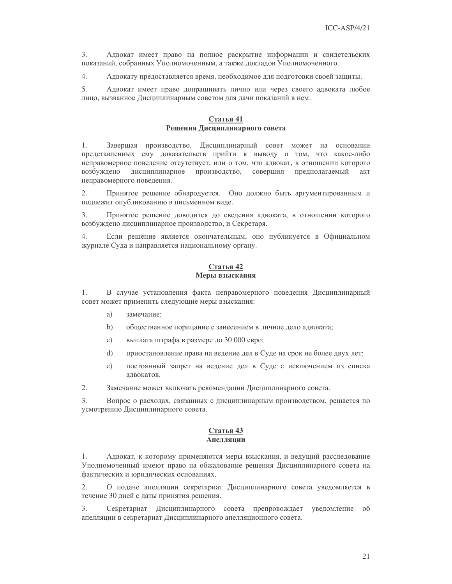$3<sub>1</sub>$ Адвокат имеет право на полное раскрытие информации и свидетельских показаний, собранных Уполномоченным, а также докладов Уполномоченного.

 $\overline{4}$ . Адвокату предоставляется время, необходимое для подготовки своей защиты.

5. Адвокат имеет право допрашивать лично или через своего адвоката любое лицо, вызванное Дисциплинарным советом для дачи показаний в нем.

#### Статья 41 Решения Дисциплинарного совета

1. Завершая производство, Дисциплинарный совет может на основании представленных ему доказательств прийти к выводу о том, что какое-либо неправомерное поведение отсутствует, или о том, что адвокат, в отношении которого возбуждено дисциплинарное производство, совершил предполагаемый акт неправомерного поведения.

 $2.$ Принятое решение обнародуется. Оно должно быть аргументированным и подлежит опубликованию в письменном виде.

3. Принятое решение доводится до сведения адвоката, в отношении которого возбуждено дисциплинарное производство, и Секретаря.

4. Если решение является окончательным, оно публикуется в Официальном журнале Суда и направляется национальному органу.

#### Статья 42 Меры взыскания

 $1<sub>1</sub>$ В случае установления факта неправомерного поведения Дисциплинарный совет может применить следующие меры взыскания:

- a) замечание;
- $b)$ общественное порицание с занесением в личное дело адвоката;
- $\mathcal{C}$ ) выплата штрафа в размере до 30 000 евро;
- $\mathbf{d}$ приостановление права на ведение дел в Суде на срок не более двух лет;
- $e)$ постоянный запрет на ведение дел в Суде с исключением из списка алвокатов.

 $2^{\circ}$ Замечание может включать рекомендации Дисциплинарного совета.

 $\overline{3}$ . Вопрос о расходах, связанных с дисциплинарным производством, решается по усмотрению Дисциплинарного совета.

### Статья 43

#### Апелляции

Адвокат, к которому применяются меры взыскания, и ведущий расследование 1. Уполномоченный имеют право на обжалование решения Дисциплинарного совета на фактических и юридических основаниях.

 $2.$ О подаче апелляции секретариат Дисциплинарного совета уведомляется в течение 30 дней с даты принятия решения.

Секретариат Дисциплинарного совета препровождает уведомление об  $\mathfrak{Z}$ . апелляции в секретариат Дисциплинарного апелляционного совета.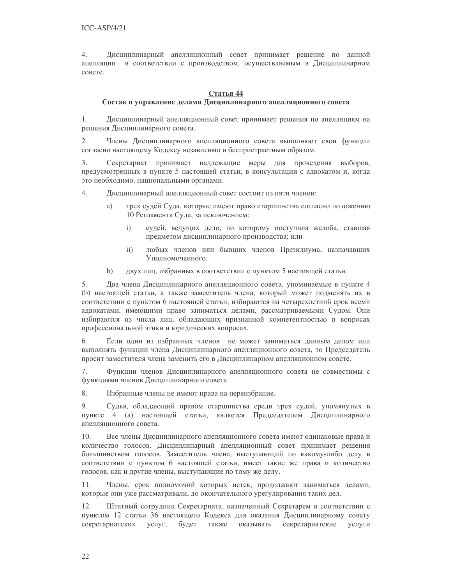$4<sub>1</sub>$ Дисциплинарный апелляционный совет принимает решение по данной апелляции в соответствии с производством, осуществляемым в Дисциплинарном совете.

#### Статья 44

#### Состав и управление делами Дисциплинарного апелляционного совета

1. Дисциплинарный апелляционный совет принимает решения по апелляциям на решения Дисциплинарного совета.

 $\overline{2}$ . Члены Дисциплинарного апелляционного совета выполняют свои функции согласно настоящему Кодексу независимо и беспристрастным образом.

3. Секретариат принимает надлежащие меры для проведения выборов, предусмотренных в пункте 5 настоящей статьи, в консультации с адвокатом и, когда это необходимо, национальными органами.

- $\overline{4}$ . Дисциплинарный апелляционный совет состоит из пяти членов:
	- a) трех судей Суда, которые имеют право старшинства согласно положению 10 Регламента Суда, за исключением:
		- $\mathbf{i}$ судей, ведущих дело, по которому поступила жалоба, ставшая предметом дисциплинарного производства; или
		- $\mathbf{ii}$ любых членов или бывших членов Президиума, назначавших Уполномоченного.
	- $b)$ двух лиц, избранных в соответствии с пунктом 5 настоящей статьи.

5. Два члена Дисциплинарного апелляционного совета, упоминаемые в пункте 4 (b) настоящей статьи, а также заместитель члена, который может подменять их в соответствии с пунктом 6 настоящей статьи, избираются на четырехлетний срок всеми адвокатами, имеющими право заниматься делами, рассматриваемыми Судом. Они избираются из числа лиц, обладающих признанной компетентностью в вопросах профессиональной этики и юридических вопросах.

6. Если один из избранных членов не может заниматься данным делом или выполнять функции члена Дисциплинарного апелляционного совета, то Председатель просит заместителя члена заменить его в Дисциплинарном апелляционном совете.

Функции членов Дисциплинарного апелляционного совета не совместимы с 7. функциями членов Дисциплинарного совета.

8. Избранные члены не имеют права на переизбрание.

9. Судья, обладающий правом старшинства среди трех судей, упомянутых в пункте 4 (а) настоящей статьи, является Председателем Дисциплинарного апелляционного совета.

 $10<sup>1</sup>$ Все члены Дисциплинарного апелляционного совета имеют одинаковые права и количество голосов. Дисциплинарный апелляционный совет принимает решения большинством голосов. Заместитель члена, выступающий по какому-либо делу в соответствии с пунктом 6 настоящей статьи, имеет такие же права и количество голосов, как и другие члены, выступающие по тому же делу.

11. Члены, срок полномочий которых истек, продолжают заниматься делами, которые они уже рассматривали, до окончательного урегулирования таких дел.

Штатный сотрудник Секретариата, назначенный Секретарем в соответствии с 12. пунктом 12 статьи 36 настоящего Кодекса для оказания Дисциплинарному совету секретариатских услуг, будет также оказывать секретариатские услуги